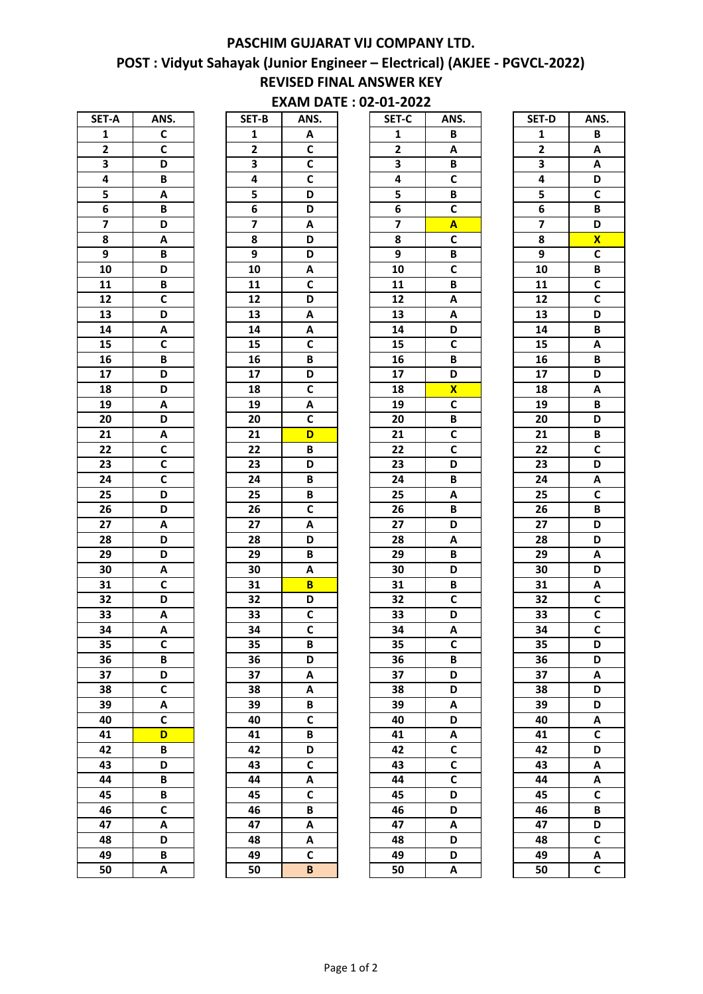## POST : Vidyut Sahayak (Junior Engineer – Electrical) (AKJEE - PGVCL-2022) REVISED FINAL ANSWER KEY PASCHIM GUJARAT VIJ COMPANY LTD.

## EXAM DATE : 02-01-2022

| SET-A                   | ANS.                    |
|-------------------------|-------------------------|
| $\overline{\mathbf{1}}$ | $\overline{c}$          |
| $\overline{2}$          | $\overline{\mathsf{c}}$ |
| 3                       | $\overline{\mathsf{D}}$ |
| 4                       | B                       |
| 5                       | A                       |
| 6                       | B                       |
| 7                       | D                       |
| 8                       | A                       |
| 9                       | B                       |
| 10                      | D                       |
| $\overline{11}$         |                         |
| $\overline{12}$         | $rac{B}{C}$             |
| 13                      | $\overline{D}$          |
| $\overline{14}$         | $\overline{\mathsf{A}}$ |
| 15                      | C                       |
| 16                      | B                       |
| $\overline{17}$         | D                       |
| 18                      | $\overline{\mathsf{D}}$ |
| 19                      | A                       |
| 20                      | $\overline{\mathsf{D}}$ |
| $\overline{21}$         | $\overline{\mathsf{A}}$ |
| $\overline{22}$         | $\overline{c}$          |
| 23                      | $\overline{\mathsf{c}}$ |
| $\overline{24}$         | $\overline{\mathsf{c}}$ |
| $\overline{25}$         | $\overline{\mathsf{D}}$ |
| $\overline{26}$         | $\overline{\mathsf{D}}$ |
| $\overline{27}$         | $\overline{\mathsf{A}}$ |
| $2\overline{8}$         |                         |
| 29                      | $\frac{D}{D}$           |
| 30                      | A                       |
| 31                      | $\overline{\mathsf{c}}$ |
| 32                      | D                       |
| 33                      | A                       |
| 34                      | A                       |
| 35                      | C                       |
| 36                      | B                       |
| 37                      | D                       |
| 38                      | C                       |
| 39                      | A                       |
| 40                      | $\overline{\mathsf{c}}$ |
| 41                      | D                       |
| 42                      | B                       |
| 43                      | D                       |
| 44                      | В                       |
| 45                      | B                       |
| 46                      | $\overline{\mathbf{c}}$ |
| 47                      | A                       |
| 48                      | D                       |
| 49                      | B                       |
| 50                      | A                       |

| SET-B           | ANS.                    |
|-----------------|-------------------------|
| 1               | A                       |
| $\overline{2}$  | $\overline{c}$          |
| 3               | C                       |
| 4               | C                       |
| 5               | D                       |
| 6               | D                       |
| 7               | A                       |
| 8               | D                       |
| 9               | D                       |
| $\overline{10}$ | A                       |
| $\overline{11}$ | $\overline{\mathsf{c}}$ |
| $\overline{12}$ | D                       |
| 13              | A                       |
| $\overline{14}$ | A                       |
| 15              | C                       |
| 16              | B                       |
| $\overline{17}$ | D                       |
| 18              | $\overline{\mathsf{c}}$ |
| 19              | A                       |
| 20              | $\overline{\mathbf{c}}$ |
| $\overline{21}$ |                         |
| 22              | D<br>B                  |
|                 |                         |
| $2\overline{3}$ | D                       |
| $\overline{24}$ | B                       |
| $\overline{25}$ | B                       |
| $\overline{2}6$ | $\overline{\mathsf{c}}$ |
| $\overline{27}$ | Ā                       |
| 28              | D                       |
| $\overline{29}$ | B                       |
| 30              | A                       |
| 31              | B                       |
| 32              | D                       |
| 33              | $\overline{\mathbf{c}}$ |
| 34              | $\overline{c}$          |
| 35              | B                       |
| 36              | D                       |
| 37              | A                       |
| 38              | A                       |
| 39              | В                       |
| 40              | C                       |
| 41              | B                       |
| $\overline{42}$ | D                       |
| 43              | $\overline{\mathsf{c}}$ |
| 44              | A                       |
| 45              | $\overline{\mathbf{c}}$ |
| 46              | B                       |
| 47              | A                       |
| 48              | A                       |
| 49              | $\tilde{\mathbf{c}}$    |
| 50              | B                       |

| SET-A                   | ANS.         | SET-B                   | ANS.                    | SET-C                   | ANS.                    | SET-D                   | ANS.                    |
|-------------------------|--------------|-------------------------|-------------------------|-------------------------|-------------------------|-------------------------|-------------------------|
| $\mathbf{1}$            | $\mathbf c$  | $\mathbf{1}$            | A                       | 1                       | B                       | $\mathbf{1}$            | B                       |
| $\mathbf{2}$            | $\mathsf{C}$ | $\mathbf{2}$            | $\mathbf C$             | $\mathbf{2}$            | A                       | $\mathbf{2}$            | Α                       |
| $\mathbf 3$             | D            | 3                       | $\mathsf{C}$            | 3                       | В                       | $\overline{\mathbf{3}}$ | A                       |
| 4                       | B            | 4                       | $\mathsf{C}$            | 4                       | C                       | 4                       | D                       |
| 5                       | Α            | 5                       | D                       | 5                       | B                       | 5                       | $\overline{\mathsf{c}}$ |
| 6                       | B            | $\bf 6$                 | D                       | 6                       | $\mathbf c$             | 6                       | B                       |
| $\overline{\mathbf{z}}$ | D            | $\overline{\mathbf{z}}$ | $\pmb{\mathsf{A}}$      | $\overline{\mathbf{z}}$ | $\overline{\mathsf{A}}$ | $\overline{\mathbf{z}}$ | D                       |
| 8                       | Α            | 8                       | D                       | 8                       | $\mathbf c$             | 8                       | $\overline{\mathbf{X}}$ |
| 9                       | B            | $\boldsymbol{9}$        | D                       | 9                       | B                       | $\overline{9}$          | $\overline{\mathsf{c}}$ |
| 10                      | D            | 10                      | $\pmb{\mathsf{A}}$      | 10                      | $\overline{\mathsf{c}}$ | 10                      | B                       |
| 11                      | B            | 11                      | $\mathsf{C}$            | 11                      | B                       | 11                      | $\overline{c}$          |
| 12                      | C            | 12                      | D                       | 12                      | A                       | 12                      | $\overline{\mathsf{c}}$ |
| 13                      | D            | 13                      | Α                       | 13                      | A                       | 13                      | D                       |
| 14                      | Α            | 14                      | A                       | 14                      | D                       | 14                      | B                       |
| 15                      | C            | 15                      | $\mathsf{C}$            | 15                      | $\mathbf c$             | 15                      | Α                       |
| 16                      | B            | 16                      | В                       | 16                      | В                       | 16                      | B                       |
| 17                      | D            | 17                      | D                       | 17                      | D                       | 17                      | D                       |
| 18                      | D            | 18                      | $\overline{c}$          | 18                      | $\overline{\mathbf{X}}$ | 18                      | A                       |
| 19                      | Α            | 19                      | A                       | 19                      | $\mathsf{C}$            | 19                      | B                       |
| 20                      | D            | 20                      | $\mathsf{C}$            | 20                      | B                       | 20                      | D                       |
| 21                      | Α            | 21                      | D                       | 21                      | C                       | 21                      | B                       |
| 22                      | $\mathsf{C}$ | 22                      | B                       | 22                      | $\mathbf c$             | 22                      | $\mathsf{C}$            |
| 23                      | C            | 23                      | D                       | 23                      | D                       | 23                      | D                       |
| 24                      | C            | 24                      | $\, {\bf B}$            | 24                      | B                       | 24                      | A                       |
| 25                      | D            | 25                      | B                       | 25                      | A                       | 25                      | $\overline{\mathsf{c}}$ |
| 26                      | D            | 26                      | $\overline{c}$          | 26                      | B                       | 26                      | B                       |
| 27                      | Α            | 27                      | A                       | 27                      | D                       | 27                      | D                       |
| 28                      | D            | 28                      | D                       | 28                      | Α                       | 28                      | D                       |
| 29                      | D            | 29                      | В                       | 29                      | B                       | 29                      | Α                       |
| 30                      | Α            | 30                      | A                       | 30                      | D                       | 30                      | D                       |
| 31                      | $\mathbf c$  | 31                      | B                       | 31                      | B                       | 31                      | Α                       |
| 32                      | D            | 32                      | D                       | 32                      | $\mathbf c$             | 32                      | $\overline{\mathsf{c}}$ |
| 33                      | Α            | 33                      | $\mathsf{C}$            | 33                      | D                       | 33                      | $\mathsf{C}$            |
| 34                      | A            | 34                      | $\overline{\mathsf{c}}$ | 34                      | A                       | 34                      | $\overline{\mathsf{c}}$ |
| 35                      | $\mathbf c$  | 35                      | В                       | 35                      | $\mathsf{C}$            | 35                      | D                       |
| 36                      | B            | 36                      | D                       | 36                      | B                       | 36                      | D                       |
| 37                      | D            | 37                      | Α                       | 37                      | D                       | 37                      | Α                       |
| 38                      | $\mathsf{C}$ | 38                      | Α                       | 38                      | D                       | 38                      | D                       |
| 39                      | Α            | 39                      | В                       | 39                      | Α                       | 39                      | D                       |
| 40                      | C            | 40                      | $\mathsf{C}$            | 40                      | D                       | 40                      | Α                       |
| 41                      | D            | 41                      | В                       | 41                      | A                       | 41                      | $\overline{\mathsf{c}}$ |
| 42                      | В            | 42                      | D                       | 42                      | $\mathbf c$             | 42                      | D                       |
| 43                      | D            | 43                      | $\mathsf{C}$            | 43                      | $\overline{\mathsf{c}}$ | 43                      | A                       |
| 44                      | B            | 44                      | A                       | 44                      | $\mathsf c$             | 44                      | Α                       |
| 45                      | B            | 45                      | $\mathsf{C}$            | 45                      | D                       | 45                      | $\mathsf{C}$            |
| 46                      | $\mathsf{C}$ | 46                      | В                       | 46                      | D                       | 46                      | B                       |
| 47                      | A            | 47                      | A                       | 47                      | Α                       | 47                      | D                       |
| 48                      | D            | 48                      | Α                       | 48                      | D                       | 48                      | $\mathsf{C}$            |
| 49                      | В            | 49                      | $\mathsf{C}$            | 49                      | D                       | 49                      | Α                       |
| 50                      | A            | 50                      | B                       | 50                      | A                       | 50                      | $\mathsf{C}$            |
|                         |              |                         |                         |                         |                         |                         |                         |

| SET-D           | ANS.                    |
|-----------------|-------------------------|
| 1               | B                       |
| 2               | A                       |
| 3               | A                       |
| 4               | D                       |
| 5               | $\overline{\mathsf{c}}$ |
| 6               | B                       |
| 7               | D                       |
| 8               | X                       |
| 9               | C                       |
| 10              | B                       |
| $\overline{11}$ | $\overline{\mathsf{c}}$ |
| $\overline{12}$ | $\overline{c}$          |
| 13              | D                       |
| $\overline{14}$ | B                       |
| 15              | A                       |
| 16              | $\overline{B}$          |
| $\overline{17}$ | D                       |
| 18              | A                       |
| 19              | B                       |
| 20              | D                       |
| 21              | B                       |
| 22              | $\overline{\mathsf{c}}$ |
| $\overline{23}$ | $\overline{\mathsf{D}}$ |
| $\overline{24}$ | Ā                       |
| $\overline{25}$ | $\overline{\mathsf{c}}$ |
| 26              | $\overline{B}$          |
| 27              | $\overline{\mathsf{D}}$ |
| 28              | D                       |
| 29              | A                       |
| 30              | D                       |
| 31              | A                       |
| 32              | $\overline{\mathsf{c}}$ |
| 33              | $\overline{c}$          |
| 34              | $\overline{\mathsf{c}}$ |
|                 | D                       |
| 35<br>36        | D                       |
| 37              |                         |
| 38              | A<br>D                  |
| 39              |                         |
| 40              | D                       |
| $4\overline{1}$ | A<br>$\overline{c}$     |
| $4\overline{2}$ |                         |
|                 | D                       |
| 43              | $\overline{\mathsf{A}}$ |
| 44              | A                       |
| 45              | $\overline{\mathsf{c}}$ |
| 46              | B                       |
| 47              | D                       |
| 48              | $\overline{\mathsf{c}}$ |
| 49              | A                       |
| 50              | Ċ                       |